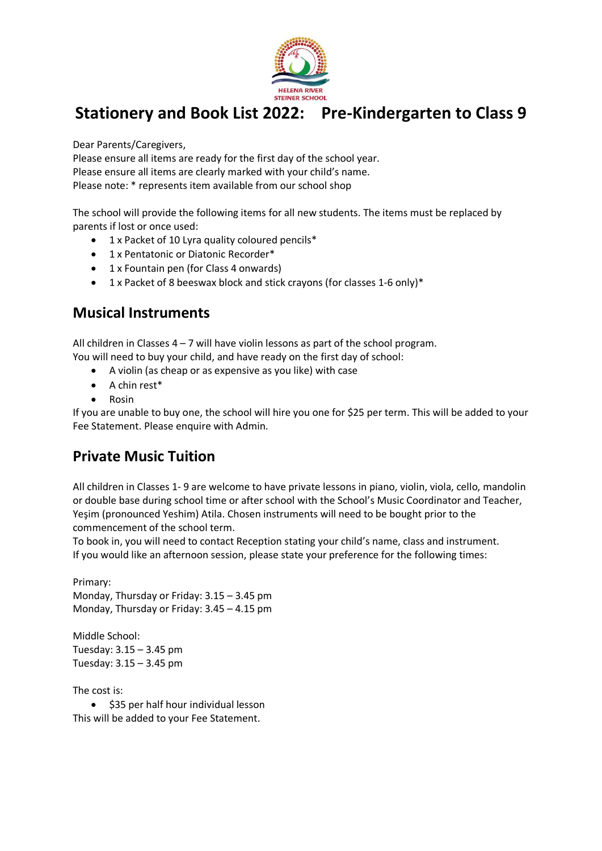

Dear Parents/Caregivers,

Please ensure all items are ready for the first day of the school year. Please ensure all items are clearly marked with your child's name. Please note: \* represents item available from our school shop

The school will provide the following items for all new students. The items must be replaced by parents if lost or once used:

- 1 x Packet of 10 Lyra quality coloured pencils\*
- 1 x Pentatonic or Diatonic Recorder\*
- 1 x Fountain pen (for Class 4 onwards)
- 1 x Packet of 8 beeswax block and stick crayons (for classes 1-6 only)\*

#### **Musical Instruments**

All children in Classes 4 – 7 will have violin lessons as part of the school program.

You will need to buy your child, and have ready on the first day of school:

- A violin (as cheap or as expensive as you like) with case
- A chin rest\*
- Rosin

If you are unable to buy one, the school will hire you one for \$25 per term. This will be added to your Fee Statement. Please enquire with Admin.

#### **Private Music Tuition**

All children in Classes 1- 9 are welcome to have private lessons in piano, violin, viola, cello, mandolin or double base during school time or after school with the School's Music Coordinator and Teacher, Yeşim (pronounced Yeshim) Atila. Chosen instruments will need to be bought prior to the commencement of the school term.

To book in, you will need to contact Reception stating your child's name, class and instrument. If you would like an afternoon session, please state your preference for the following times:

Primary: Monday, Thursday or Friday: 3.15 – 3.45 pm Monday, Thursday or Friday: 3.45 – 4.15 pm

Middle School: Tuesday: 3.15 – 3.45 pm Tuesday: 3.15 – 3.45 pm

The cost is:

• \$35 per half hour individual lesson This will be added to your Fee Statement.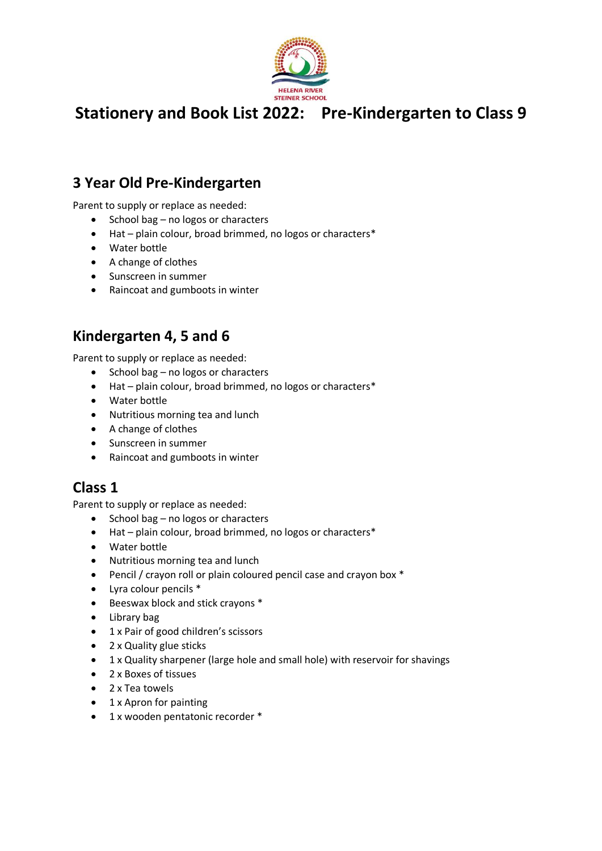

#### **3 Year Old Pre-Kindergarten**

Parent to supply or replace as needed:

- School bag no logos or characters
- Hat plain colour, broad brimmed, no logos or characters\*
- Water bottle
- A change of clothes
- Sunscreen in summer
- Raincoat and gumboots in winter

#### **Kindergarten 4, 5 and 6**

Parent to supply or replace as needed:

- School bag no logos or characters
- Hat plain colour, broad brimmed, no logos or characters\*
- Water bottle
- Nutritious morning tea and lunch
- A change of clothes
- Sunscreen in summer
- Raincoat and gumboots in winter

#### **Class 1**

Parent to supply or replace as needed:

- School bag no logos or characters
- Hat plain colour, broad brimmed, no logos or characters\*
- Water bottle
- Nutritious morning tea and lunch
- Pencil / crayon roll or plain coloured pencil case and crayon box \*
- Lyra colour pencils \*
- Beeswax block and stick crayons \*
- Library bag
- 1 x Pair of good children's scissors
- 2 x Quality glue sticks
- 1 x Quality sharpener (large hole and small hole) with reservoir for shavings
- 2 x Boxes of tissues
- 2 x Tea towels
- 1 x Apron for painting
- 1 x wooden pentatonic recorder \*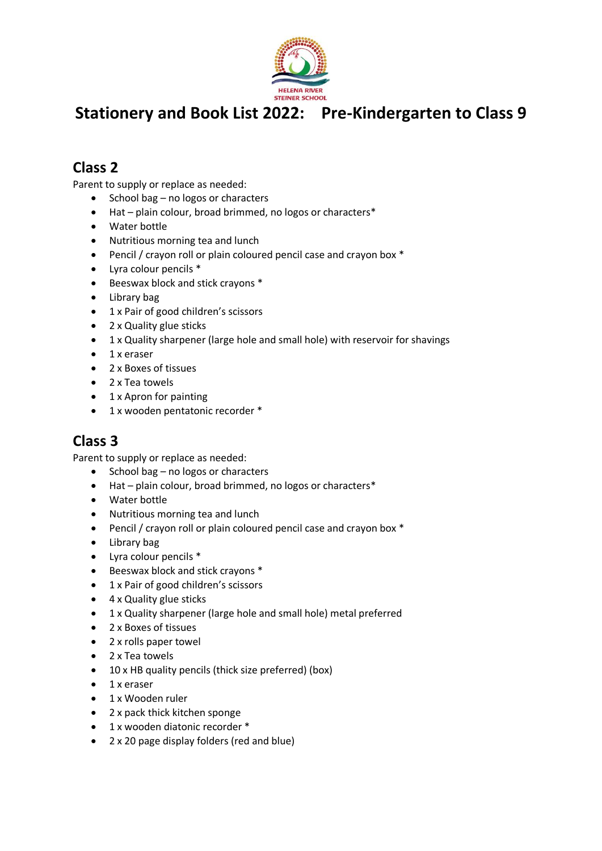

### **Class 2**

Parent to supply or replace as needed:

- School bag no logos or characters
- Hat plain colour, broad brimmed, no logos or characters\*
- Water bottle
- Nutritious morning tea and lunch
- Pencil / crayon roll or plain coloured pencil case and crayon box \*
- Lyra colour pencils \*
- Beeswax block and stick crayons \*
- Library bag
- 1 x Pair of good children's scissors
- 2 x Quality glue sticks
- 1 x Quality sharpener (large hole and small hole) with reservoir for shavings
- 1 x eraser
- 2 x Boxes of tissues
- 2 x Tea towels
- 1 x Apron for painting
- 1 x wooden pentatonic recorder \*

#### **Class 3**

Parent to supply or replace as needed:

- School bag no logos or characters
- Hat plain colour, broad brimmed, no logos or characters\*
- Water bottle
- Nutritious morning tea and lunch
- Pencil / crayon roll or plain coloured pencil case and crayon box \*
- Library bag
- Lyra colour pencils \*
- Beeswax block and stick crayons \*
- 1 x Pair of good children's scissors
- 4 x Quality glue sticks
- 1 x Quality sharpener (large hole and small hole) metal preferred
- 2 x Boxes of tissues
- 2 x rolls paper towel
- 2 x Tea towels
- 10 x HB quality pencils (thick size preferred) (box)
- 1 x eraser
- 1 x Wooden ruler
- 2 x pack thick kitchen sponge
- 1 x wooden diatonic recorder \*
- 2 x 20 page display folders (red and blue)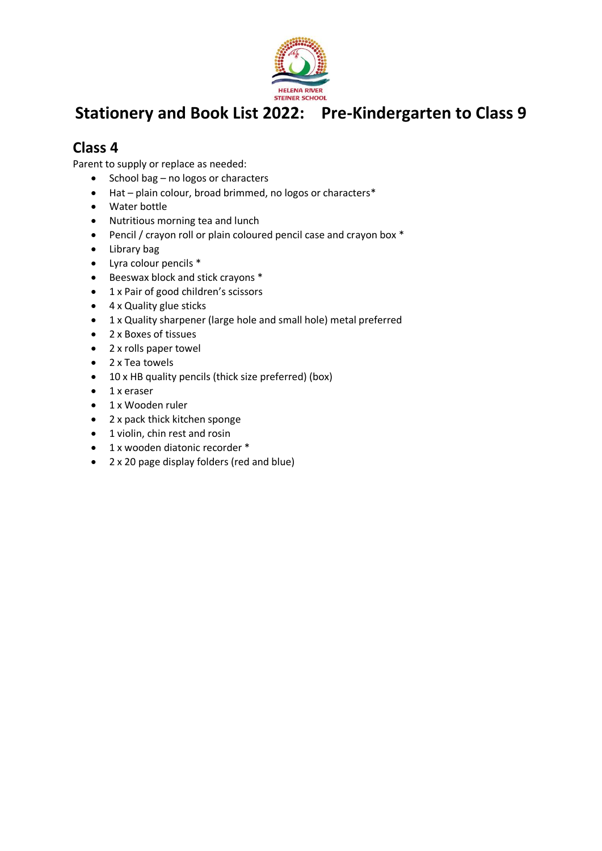

### **Class 4**

Parent to supply or replace as needed:

- School bag no logos or characters
- Hat plain colour, broad brimmed, no logos or characters\*
- Water bottle
- Nutritious morning tea and lunch
- Pencil / crayon roll or plain coloured pencil case and crayon box \*
- Library bag
- Lyra colour pencils \*
- Beeswax block and stick crayons \*
- 1 x Pair of good children's scissors
- 4 x Quality glue sticks
- 1 x Quality sharpener (large hole and small hole) metal preferred
- 2 x Boxes of tissues
- 2 x rolls paper towel
- 2 x Tea towels
- 10 x HB quality pencils (thick size preferred) (box)
- 1 x eraser
- 1 x Wooden ruler
- 2 x pack thick kitchen sponge
- 1 violin, chin rest and rosin
- 1 x wooden diatonic recorder \*
- 2 x 20 page display folders (red and blue)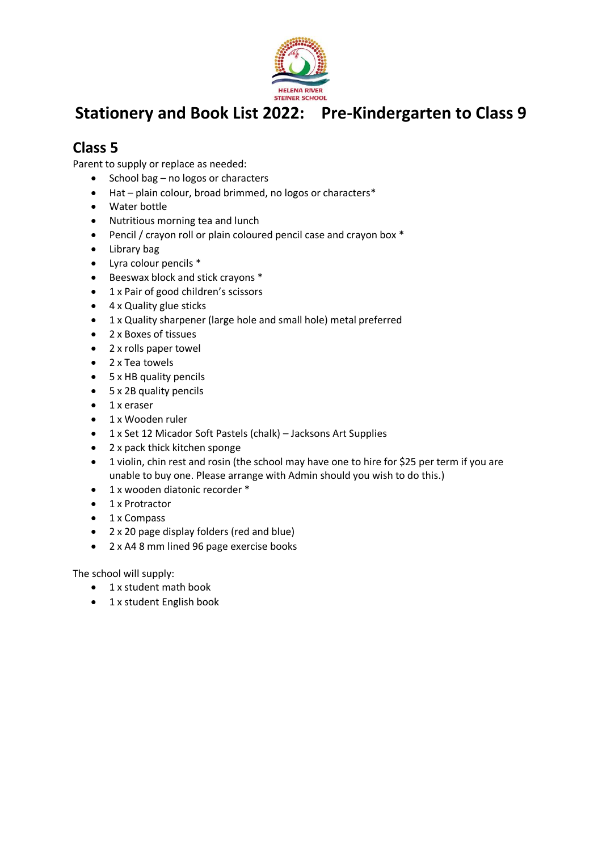

### **Class 5**

Parent to supply or replace as needed:

- School bag no logos or characters
- Hat plain colour, broad brimmed, no logos or characters\*
- Water bottle
- Nutritious morning tea and lunch
- Pencil / crayon roll or plain coloured pencil case and crayon box \*
- Library bag
- Lyra colour pencils \*
- Beeswax block and stick crayons \*
- 1 x Pair of good children's scissors
- 4 x Quality glue sticks
- 1 x Quality sharpener (large hole and small hole) metal preferred
- 2 x Boxes of tissues
- 2 x rolls paper towel
- 2 x Tea towels
- 5 x HB quality pencils
- 5 x 2B quality pencils
- 1 x eraser
- 1 x Wooden ruler
- 1 x Set 12 Micador Soft Pastels (chalk) Jacksons Art Supplies
- 2 x pack thick kitchen sponge
- 1 violin, chin rest and rosin (the school may have one to hire for \$25 per term if you are unable to buy one. Please arrange with Admin should you wish to do this.)
- 1 x wooden diatonic recorder \*
- 1 x Protractor
- 1 x Compass
- 2 x 20 page display folders (red and blue)
- 2 x A4 8 mm lined 96 page exercise books

The school will supply:

- 1 x student math book
- 1 x student English book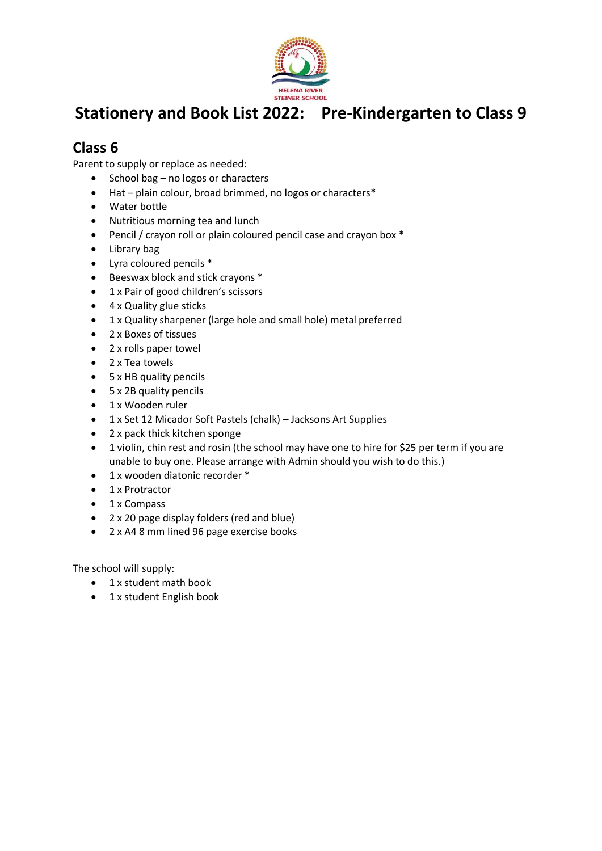

### **Class 6**

Parent to supply or replace as needed:

- School bag no logos or characters
- Hat plain colour, broad brimmed, no logos or characters\*
- Water bottle
- Nutritious morning tea and lunch
- Pencil / crayon roll or plain coloured pencil case and crayon box \*
- Library bag
- Lyra coloured pencils \*
- Beeswax block and stick crayons \*
- 1 x Pair of good children's scissors
- 4 x Quality glue sticks
- 1 x Quality sharpener (large hole and small hole) metal preferred
- 2 x Boxes of tissues
- 2 x rolls paper towel
- 2 x Tea towels
- 5 x HB quality pencils
- 5 x 2B quality pencils
- 1 x Wooden ruler
- 1 x Set 12 Micador Soft Pastels (chalk) Jacksons Art Supplies
- 2 x pack thick kitchen sponge
- 1 violin, chin rest and rosin (the school may have one to hire for \$25 per term if you are unable to buy one. Please arrange with Admin should you wish to do this.)
- 1 x wooden diatonic recorder \*
- 1 x Protractor
- 1 x Compass
- 2 x 20 page display folders (red and blue)
- 2 x A4 8 mm lined 96 page exercise books

The school will supply:

- 1 x student math book
- 1 x student English book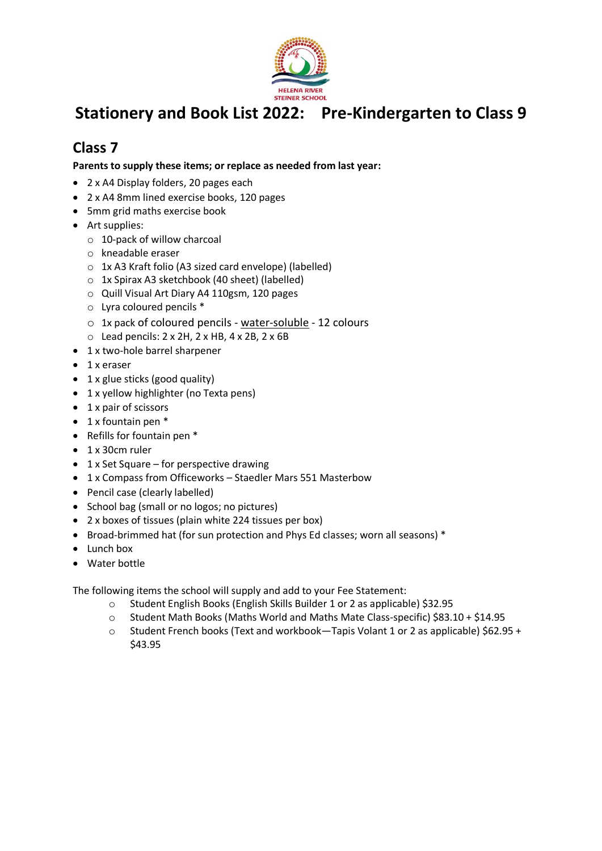

### **Class 7**

**Parents to supply these items; or replace as needed from last year:**

- 2 x A4 Display folders, 20 pages each
- 2 x A4 8mm lined exercise books, 120 pages
- 5mm grid maths exercise book
- Art supplies:
	- o 10-pack of willow charcoal
	- o kneadable eraser
	- o 1x A3 Kraft folio (A3 sized card envelope) (labelled)
	- o 1x Spirax A3 sketchbook (40 sheet) (labelled)
	- o Quill Visual Art Diary A4 110gsm, 120 pages
	- o Lyra coloured pencils \*
	- o 1x pack of coloured pencils water-soluble 12 colours
	- $\circ$  Lead pencils: 2 x 2H, 2 x HB, 4 x 2B, 2 x 6B
- 1 x two-hole barrel sharpener
- 1 x eraser
- 1 x glue sticks (good quality)
- 1 x yellow highlighter (no Texta pens)
- 1 x pair of scissors
- 1 x fountain pen \*
- Refills for fountain pen \*
- 1 x 30cm ruler
- 1 x Set Square for perspective drawing
- 1 x Compass from Officeworks Staedler Mars 551 Masterbow
- Pencil case (clearly labelled)
- School bag (small or no logos; no pictures)
- 2 x boxes of tissues (plain white 224 tissues per box)
- Broad-brimmed hat (for sun protection and Phys Ed classes; worn all seasons) \*
- Lunch box
- Water bottle

The following items the school will supply and add to your Fee Statement:

- o Student English Books (English Skills Builder 1 or 2 as applicable) \$32.95
- o Student Math Books (Maths World and Maths Mate Class-specific) \$83.10 + \$14.95
- o Student French books (Text and workbook—Tapis Volant 1 or 2 as applicable) \$62.95 + \$43.95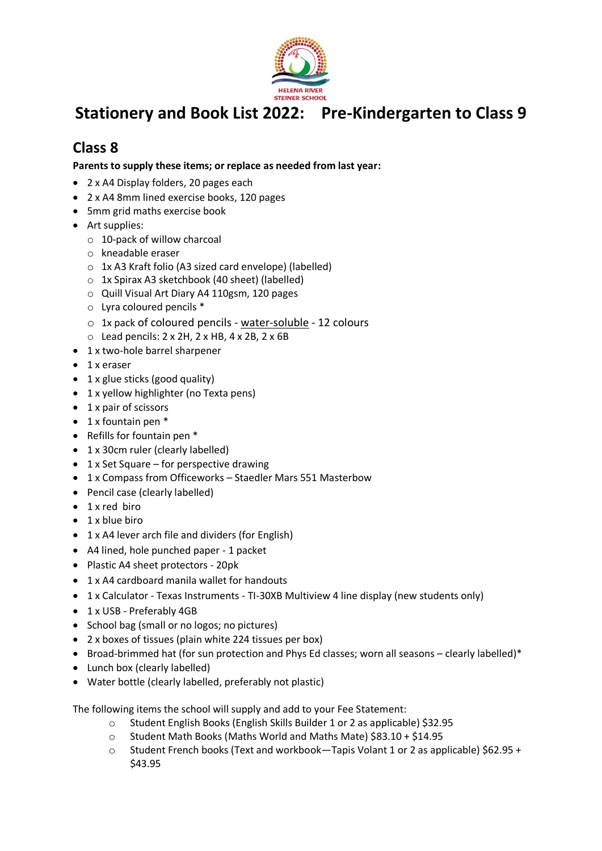

### **Class 8**

**Parents to supply these items; or replace as needed from last year:**

- 2 x A4 Display folders, 20 pages each
- 2 x A4 8mm lined exercise books, 120 pages
- 5mm grid maths exercise book
- Art supplies:
	- o 10-pack of willow charcoal
	- o kneadable eraser
	- o 1x A3 Kraft folio (A3 sized card envelope) (labelled)
	- o 1x Spirax A3 sketchbook (40 sheet) (labelled)
	- o Quill Visual Art Diary A4 110gsm, 120 pages
	- o Lyra coloured pencils \*
	- o 1x pack of coloured pencils water-soluble 12 colours
	- $\circ$  Lead pencils: 2 x 2H, 2 x HB, 4 x 2B, 2 x 6B
- 1 x two-hole barrel sharpener
- 1 x eraser
- 1 x glue sticks (good quality)
- 1 x yellow highlighter (no Texta pens)
- 1 x pair of scissors
- $\bullet$  1 x fountain pen  $*$
- Refills for fountain pen \*
- 1 x 30cm ruler (clearly labelled)
- 1 x Set Square for perspective drawing
- 1 x Compass from Officeworks Staedler Mars 551 Masterbow
- Pencil case (clearly labelled)
- 1 x red biro
- 1 x blue biro
- 1 x A4 lever arch file and dividers (for English)
- A4 lined, hole punched paper 1 packet
- Plastic A4 sheet protectors 20pk
- 1 x A4 cardboard manila wallet for handouts
- 1 x Calculator Texas Instruments TI-30XB Multiview 4 line display (new students only)
- 1 x USB Preferably 4GB
- School bag (small or no logos; no pictures)
- 2 x boxes of tissues (plain white 224 tissues per box)
- Broad-brimmed hat (for sun protection and Phys Ed classes; worn all seasons clearly labelled)\*
- Lunch box (clearly labelled)
- Water bottle (clearly labelled, preferably not plastic)

The following items the school will supply and add to your Fee Statement:

- o Student English Books (English Skills Builder 1 or 2 as applicable) \$32.95
- o Student Math Books (Maths World and Maths Mate) \$83.10 + \$14.95
- o Student French books (Text and workbook—Tapis Volant 1 or 2 as applicable) \$62.95 + \$43.95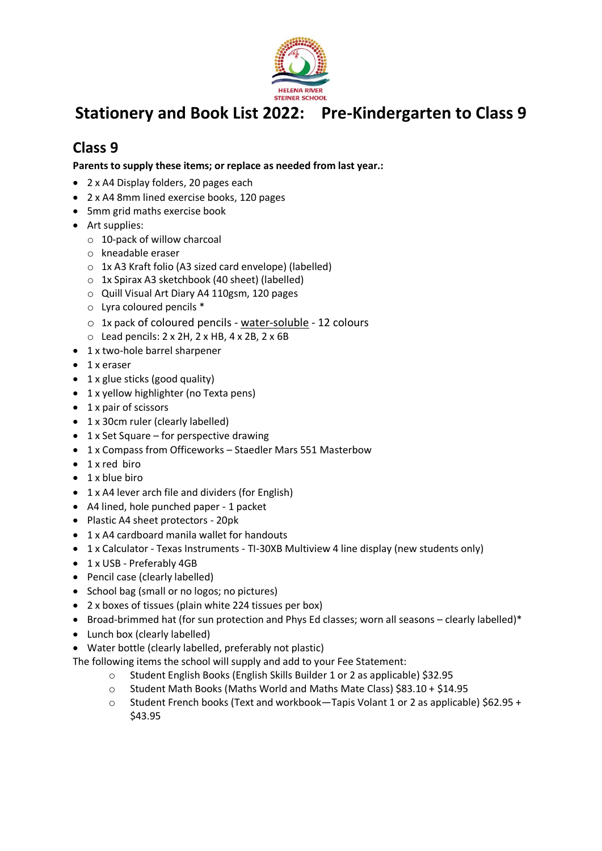

### **Class 9**

**Parents to supply these items; or replace as needed from last year.:**

- 2 x A4 Display folders, 20 pages each
- 2 x A4 8mm lined exercise books, 120 pages
- 5mm grid maths exercise book
- Art supplies:
	- o 10-pack of willow charcoal
	- o kneadable eraser
	- o 1x A3 Kraft folio (A3 sized card envelope) (labelled)
	- o 1x Spirax A3 sketchbook (40 sheet) (labelled)
	- o Quill Visual Art Diary A4 110gsm, 120 pages
	- o Lyra coloured pencils \*
	- o 1x pack of coloured pencils water-soluble 12 colours
	- $\circ$  Lead pencils: 2 x 2H, 2 x HB, 4 x 2B, 2 x 6B
- 1 x two-hole barrel sharpener
- 1 x eraser
- 1 x glue sticks (good quality)
- 1 x yellow highlighter (no Texta pens)
- 1 x pair of scissors
- 1 x 30cm ruler (clearly labelled)
- 1 x Set Square for perspective drawing
- 1 x Compass from Officeworks Staedler Mars 551 Masterbow
- 1 x red biro
- 1 x blue biro
- 1 x A4 lever arch file and dividers (for English)
- A4 lined, hole punched paper 1 packet
- Plastic A4 sheet protectors 20pk
- 1 x A4 cardboard manila wallet for handouts
- 1 x Calculator Texas Instruments TI-30XB Multiview 4 line display (new students only)
- 1 x USB Preferably 4GB
- Pencil case (clearly labelled)
- School bag (small or no logos; no pictures)
- 2 x boxes of tissues (plain white 224 tissues per box)
- Broad-brimmed hat (for sun protection and Phys Ed classes; worn all seasons clearly labelled)\*
- Lunch box (clearly labelled)
- Water bottle (clearly labelled, preferably not plastic)

The following items the school will supply and add to your Fee Statement:

- o Student English Books (English Skills Builder 1 or 2 as applicable) \$32.95
- o Student Math Books (Maths World and Maths Mate Class) \$83.10 + \$14.95
- o Student French books (Text and workbook—Tapis Volant 1 or 2 as applicable) \$62.95 + \$43.95